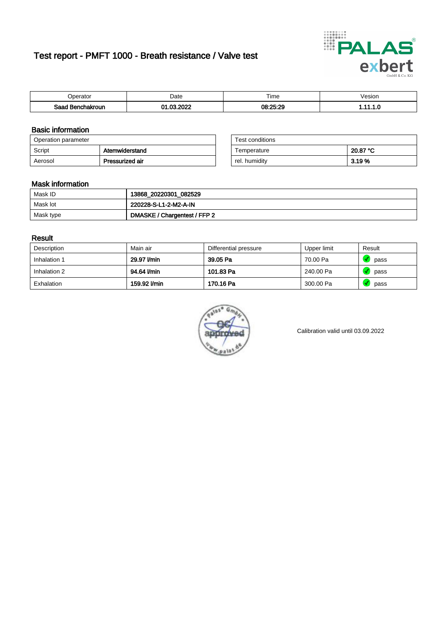# Test report - PMFT 1000 - Breath resistance / Valve test



| )perator               | Date                    | $- \cdot$<br>Fime | esion |
|------------------------|-------------------------|-------------------|-------|
| המס<br>hakroun<br>32 H | 000<br>ົ<br>$\sim$<br>. | 08:25:29          | .     |

### Basic information

| Operation parameter |                 | Test conditions |          |
|---------------------|-----------------|-----------------|----------|
| Script              | Atemwiderstand  | Temperature     | 20.87 °C |
| Aerosol             | Pressurized air | rel. humidity   | 3.19 %   |

| Test conditions |          |
|-----------------|----------|
| Temperature     | 20.87 °C |
| rel. humidity   | 3.19%    |

### Mask information

| Mask ID   | 13868_20220301_082529        |
|-----------|------------------------------|
| Mask lot  | 220228-S-L1-2-M2-A-IN        |
| Mask type | DMASKE / Chargentest / FFP 2 |

### Result

| Description  | Main air     | Differential pressure | Upper limit | Result |
|--------------|--------------|-----------------------|-------------|--------|
| Inhalation 1 | 29.97 l/min  | 39.05 Pa              | 70.00 Pa    | pass   |
| Inhalation 2 | 94.64 l/min  | 101.83 Pa             | 240.00 Pa   | pass   |
| Exhalation   | 159.92 l/min | 170.16 Pa             | 300.00 Pa   | pass   |



Calibration valid until 03.09.2022